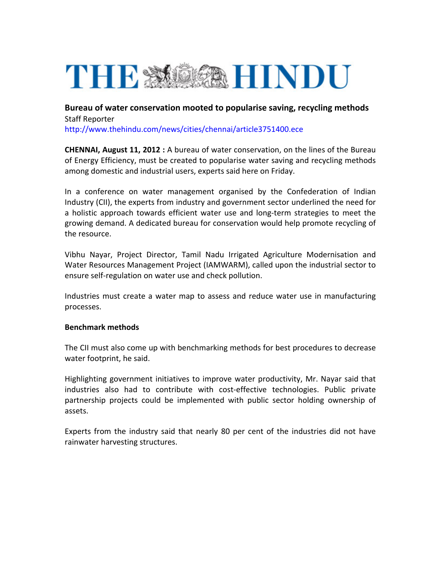## THE STOCE HINDU

**Bureau of water conservation mooted to popularise saving, recycling methods** Staff Reporter <http://www.thehindu.com/news/cities/chennai/article3751400.ece>

**CHENNAI, August 11, 2012 :** A bureau of water conservation, on the lines of the Bureau of Energy Efficiency, must be created to popularise water saving and recycling methods among domestic and industrial users, experts said here on Friday.

In a conference on water management organised by the Confederation of Indian Industry (CII), the experts from industry and government sector underlined the need for a holistic approach towards efficient water use and long‐term strategies to meet the growing demand. A dedicated bureau for conservation would help promote recycling of the resource.

Vibhu Nayar, Project Director, Tamil Nadu Irrigated Agriculture Modernisation and Water Resources Management Project (IAMWARM), called upon the industrial sector to ensure self‐regulation on water use and check pollution.

Industries must create a water map to assess and reduce water use in manufacturing processes.

## **Benchmark methods**

The CII must also come up with benchmarking methods for best procedures to decrease water footprint, he said.

Highlighting government initiatives to improve water productivity, Mr. Nayar said that industries also had to contribute with cost‐effective technologies. Public private partnership projects could be implemented with public sector holding ownership of assets.

Experts from the industry said that nearly 80 per cent of the industries did not have rainwater harvesting structures.